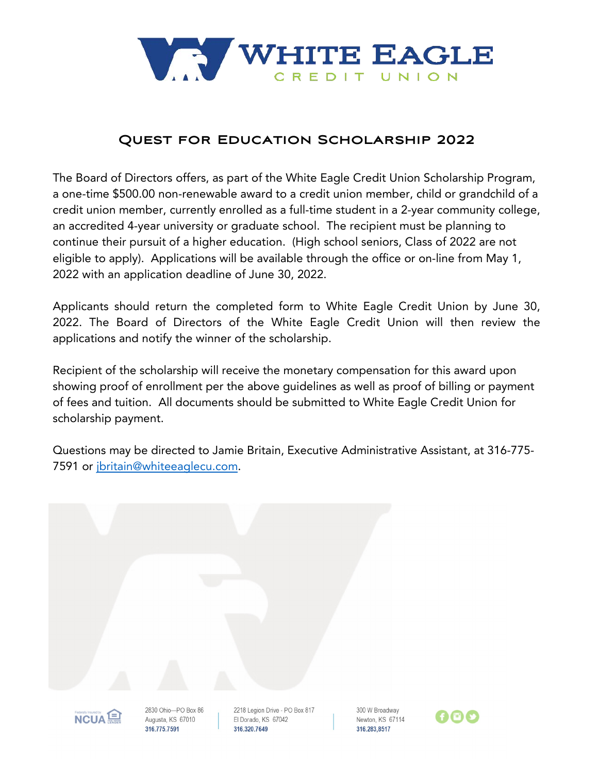

## **Quest for Education Scholarship 2022**

The Board of Directors offers, as part of the White Eagle Credit Union Scholarship Program, a one-time \$500.00 non-renewable award to a credit union member, child or grandchild of a credit union member, currently enrolled as a full-time student in a 2-year community college, an accredited 4-year university or graduate school. The recipient must be planning to continue their pursuit of a higher education. (High school seniors, Class of 2022 are not eligible to apply). Applications will be available through the office or on-line from May 1, 2022 with an application deadline of June 30, 2022.

Applicants should return the completed form to White Eagle Credit Union by June 30, 2022. The Board of Directors of the White Eagle Credit Union will then review the applications and notify the winner of the scholarship.

Recipient of the scholarship will receive the monetary compensation for this award upon showing proof of enrollment per the above guidelines as well as proof of billing or payment of fees and tuition. All documents should be submitted to White Eagle Credit Union for scholarship payment.

Questions may be directed to Jamie Britain, Executive Administrative Assistant, at 316-775- 7591 or [jbritain@whiteeaglecu.com.](mailto:jbritain@whiteeaglecu.com)

| Federally Insured by<br>∍ | 2830 Ohio-PO Box 86 | 2218 Legion Drive - PO Box 817 | 300 W Broadway |
|---------------------------|---------------------|--------------------------------|----------------|





Augusta, KS 67010 316,775,7591

El Dorado, KS 67042 316.320.7649

Newton, KS 67114 316,283,8517